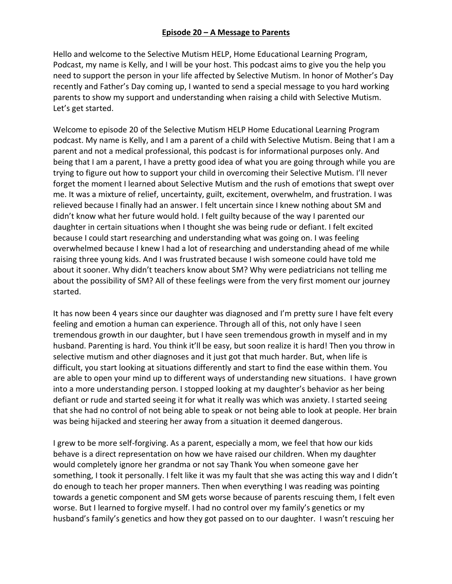## **Episode 20 – A Message to Parents**

Hello and welcome to the Selective Mutism HELP, Home Educational Learning Program, Podcast, my name is Kelly, and I will be your host. This podcast aims to give you the help you need to support the person in your life affected by Selective Mutism. In honor of Mother's Day recently and Father's Day coming up, I wanted to send a special message to you hard working parents to show my support and understanding when raising a child with Selective Mutism. Let's get started.

Welcome to episode 20 of the Selective Mutism HELP Home Educational Learning Program podcast. My name is Kelly, and I am a parent of a child with Selective Mutism. Being that I am a parent and not a medical professional, this podcast is for informational purposes only. And being that I am a parent, I have a pretty good idea of what you are going through while you are trying to figure out how to support your child in overcoming their Selective Mutism. I'll never forget the moment I learned about Selective Mutism and the rush of emotions that swept over me. It was a mixture of relief, uncertainty, guilt, excitement, overwhelm, and frustration. I was relieved because I finally had an answer. I felt uncertain since I knew nothing about SM and didn't know what her future would hold. I felt guilty because of the way I parented our daughter in certain situations when I thought she was being rude or defiant. I felt excited because I could start researching and understanding what was going on. I was feeling overwhelmed because I knew I had a lot of researching and understanding ahead of me while raising three young kids. And I was frustrated because I wish someone could have told me about it sooner. Why didn't teachers know about SM? Why were pediatricians not telling me about the possibility of SM? All of these feelings were from the very first moment our journey started.

It has now been 4 years since our daughter was diagnosed and I'm pretty sure I have felt every feeling and emotion a human can experience. Through all of this, not only have I seen tremendous growth in our daughter, but I have seen tremendous growth in myself and in my husband. Parenting is hard. You think it'll be easy, but soon realize it is hard! Then you throw in selective mutism and other diagnoses and it just got that much harder. But, when life is difficult, you start looking at situations differently and start to find the ease within them. You are able to open your mind up to different ways of understanding new situations. I have grown into a more understanding person. I stopped looking at my daughter's behavior as her being defiant or rude and started seeing it for what it really was which was anxiety. I started seeing that she had no control of not being able to speak or not being able to look at people. Her brain was being hijacked and steering her away from a situation it deemed dangerous.

I grew to be more self-forgiving. As a parent, especially a mom, we feel that how our kids behave is a direct representation on how we have raised our children. When my daughter would completely ignore her grandma or not say Thank You when someone gave her something, I took it personally. I felt like it was my fault that she was acting this way and I didn't do enough to teach her proper manners. Then when everything I was reading was pointing towards a genetic component and SM gets worse because of parents rescuing them, I felt even worse. But I learned to forgive myself. I had no control over my family's genetics or my husband's family's genetics and how they got passed on to our daughter. I wasn't rescuing her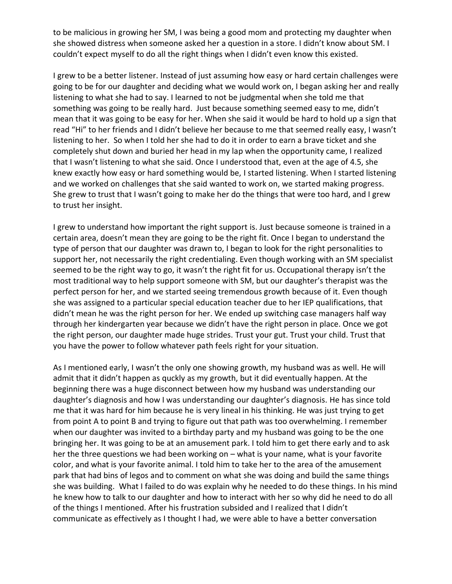to be malicious in growing her SM, I was being a good mom and protecting my daughter when she showed distress when someone asked her a question in a store. I didn't know about SM. I couldn't expect myself to do all the right things when I didn't even know this existed.

I grew to be a better listener. Instead of just assuming how easy or hard certain challenges were going to be for our daughter and deciding what we would work on, I began asking her and really listening to what she had to say. I learned to not be judgmental when she told me that something was going to be really hard. Just because something seemed easy to me, didn't mean that it was going to be easy for her. When she said it would be hard to hold up a sign that read "Hi" to her friends and I didn't believe her because to me that seemed really easy, I wasn't listening to her. So when I told her she had to do it in order to earn a brave ticket and she completely shut down and buried her head in my lap when the opportunity came, I realized that I wasn't listening to what she said. Once I understood that, even at the age of 4.5, she knew exactly how easy or hard something would be, I started listening. When I started listening and we worked on challenges that she said wanted to work on, we started making progress. She grew to trust that I wasn't going to make her do the things that were too hard, and I grew to trust her insight.

I grew to understand how important the right support is. Just because someone is trained in a certain area, doesn't mean they are going to be the right fit. Once I began to understand the type of person that our daughter was drawn to, I began to look for the right personalities to support her, not necessarily the right credentialing. Even though working with an SM specialist seemed to be the right way to go, it wasn't the right fit for us. Occupational therapy isn't the most traditional way to help support someone with SM, but our daughter's therapist was the perfect person for her, and we started seeing tremendous growth because of it. Even though she was assigned to a particular special education teacher due to her IEP qualifications, that didn't mean he was the right person for her. We ended up switching case managers half way through her kindergarten year because we didn't have the right person in place. Once we got the right person, our daughter made huge strides. Trust your gut. Trust your child. Trust that you have the power to follow whatever path feels right for your situation.

As I mentioned early, I wasn't the only one showing growth, my husband was as well. He will admit that it didn't happen as quckly as my growth, but it did eventually happen. At the beginning there was a huge disconnect between how my husband was understanding our daughter's diagnosis and how I was understanding our daughter's diagnosis. He has since told me that it was hard for him because he is very lineal in his thinking. He was just trying to get from point A to point B and trying to figure out that path was too overwhelming. I remember when our daughter was invited to a birthday party and my husband was going to be the one bringing her. It was going to be at an amusement park. I told him to get there early and to ask her the three questions we had been working on – what is your name, what is your favorite color, and what is your favorite animal. I told him to take her to the area of the amusement park that had bins of legos and to comment on what she was doing and build the same things she was building. What I failed to do was explain why he needed to do these things. In his mind he knew how to talk to our daughter and how to interact with her so why did he need to do all of the things I mentioned. After his frustration subsided and I realized that I didn't communicate as effectively as I thought I had, we were able to have a better conversation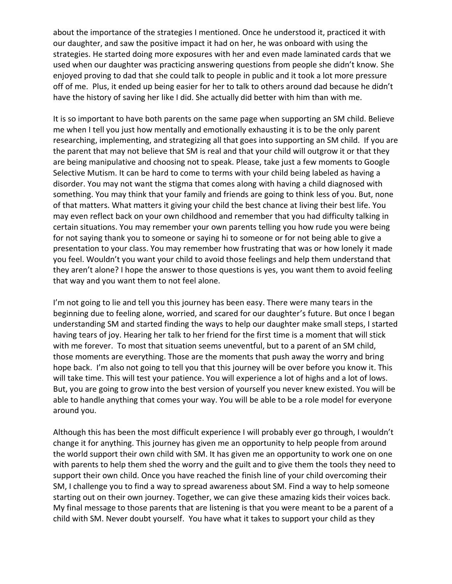about the importance of the strategies I mentioned. Once he understood it, practiced it with our daughter, and saw the positive impact it had on her, he was onboard with using the strategies. He started doing more exposures with her and even made laminated cards that we used when our daughter was practicing answering questions from people she didn't know. She enjoyed proving to dad that she could talk to people in public and it took a lot more pressure off of me. Plus, it ended up being easier for her to talk to others around dad because he didn't have the history of saving her like I did. She actually did better with him than with me.

It is so important to have both parents on the same page when supporting an SM child. Believe me when I tell you just how mentally and emotionally exhausting it is to be the only parent researching, implementing, and strategizing all that goes into supporting an SM child. If you are the parent that may not believe that SM is real and that your child will outgrow it or that they are being manipulative and choosing not to speak. Please, take just a few moments to Google Selective Mutism. It can be hard to come to terms with your child being labeled as having a disorder. You may not want the stigma that comes along with having a child diagnosed with something. You may think that your family and friends are going to think less of you. But, none of that matters. What matters it giving your child the best chance at living their best life. You may even reflect back on your own childhood and remember that you had difficulty talking in certain situations. You may remember your own parents telling you how rude you were being for not saying thank you to someone or saying hi to someone or for not being able to give a presentation to your class. You may remember how frustrating that was or how lonely it made you feel. Wouldn't you want your child to avoid those feelings and help them understand that they aren't alone? I hope the answer to those questions is yes, you want them to avoid feeling that way and you want them to not feel alone.

I'm not going to lie and tell you this journey has been easy. There were many tears in the beginning due to feeling alone, worried, and scared for our daughter's future. But once I began understanding SM and started finding the ways to help our daughter make small steps, I started having tears of joy. Hearing her talk to her friend for the first time is a moment that will stick with me forever. To most that situation seems uneventful, but to a parent of an SM child, those moments are everything. Those are the moments that push away the worry and bring hope back. I'm also not going to tell you that this journey will be over before you know it. This will take time. This will test your patience. You will experience a lot of highs and a lot of lows. But, you are going to grow into the best version of yourself you never knew existed. You will be able to handle anything that comes your way. You will be able to be a role model for everyone around you.

Although this has been the most difficult experience I will probably ever go through, I wouldn't change it for anything. This journey has given me an opportunity to help people from around the world support their own child with SM. It has given me an opportunity to work one on one with parents to help them shed the worry and the guilt and to give them the tools they need to support their own child. Once you have reached the finish line of your child overcoming their SM, I challenge you to find a way to spread awareness about SM. Find a way to help someone starting out on their own journey. Together, we can give these amazing kids their voices back. My final message to those parents that are listening is that you were meant to be a parent of a child with SM. Never doubt yourself. You have what it takes to support your child as they